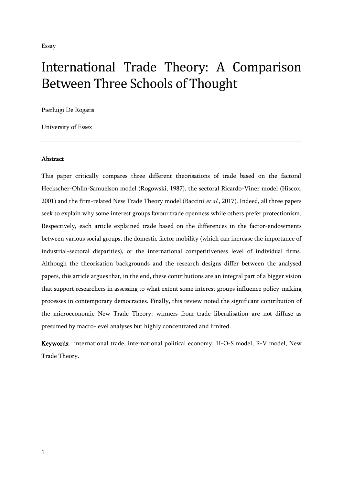# International Trade Theory: A Comparison Between Three Schools of Thought

Pierluigi De Rogatis

University of Essex

### **Abstract**

This paper critically compares three different theorisations of trade based on the factoral Heckscher-Ohlin-Samuelson model (Rogowski, 1987), the sectoral Ricardo-Viner model (Hiscox, 2001) and the firm-related New Trade Theory model (Baccini et al., 2017). Indeed, all three papers seek to explain why some interest groups favour trade openness while others prefer protectionism. Respectively, each article explained trade based on the differences in the factor-endowments between various social groups, the domestic factor mobility (which can increase the importance of industrial-sectoral disparities), or the international competitiveness level of individual firms. Although the theorisation backgrounds and the research designs differ between the analysed papers, this article argues that, in the end, these contributions are an integral part of a bigger vision that support researchers in assessing to what extent some interest groups influence policy-making processes in contemporary democracies. Finally, this review noted the significant contribution of the microeconomic New Trade Theory: winners from trade liberalisation are not diffuse as presumed by macro-level analyses but highly concentrated and limited.

Keywords: international trade, international political economy, H-O-S model, R-V model, New Trade Theory.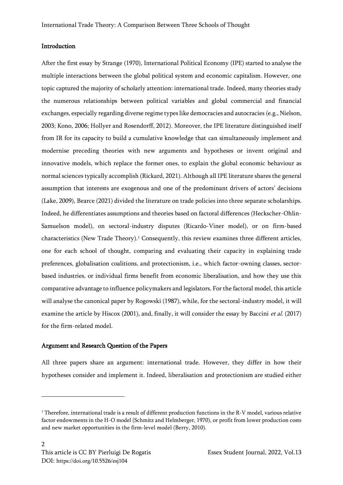## **Introduction**

After the first essay by Strange (1970), International Political Economy (IPE) started to analyse the multiple interactions between the global political system and economic capitalism. However, one topic captured the majority of scholarly attention: international trade. Indeed, many theories study the numerous relationships between political variables and global commercial and financial exchanges, especially regarding diverse regime types like democracies and autocracies (e.g., Nielson, 2003; Kono, 2006; Hollyer and Rosendorff, 2012). Moreover, the IPE literature distinguished itself from IR for its capacity to build a cumulative knowledge that can simultaneously implement and modernise preceding theories with new arguments and hypotheses or invent original and innovative models, which replace the former ones, to explain the global economic behaviour as normal sciences typically accomplish (Rickard, 2021). Although all IPE literature shares the general assumption that interests are exogenous and one of the predominant drivers of actors' decisions (Lake, 2009), Bearce (2021) divided the literature on trade policies into three separate scholarships. Indeed, he differentiates assumptions and theories based on factoral differences (Heckscher-Ohlin-Samuelson model), on sectoral-industry disputes (Ricardo-Viner model), or on firm-based characteristics (New Trade Theory).<sup>1</sup> Consequently, this review examines three different articles, one for each school of thought, comparing and evaluating their capacity in explaining trade preferences, globalisation coalitions, and protectionism, i.e., which factor-owning classes, sectorbased industries, or individual firms benefit from economic liberalisation, and how they use this comparative advantage to influence policymakers and legislators. For the factoral model, this article will analyse the canonical paper by Rogowski (1987), while, for the sectoral-industry model, it will examine the article by Hiscox (2001), and, finally, it will consider the essay by Baccini *et al.* (2017) for the firm-related model.

## Argument and Research Question of the Papers

All three papers share an argument: international trade. However, they differ in how their hypotheses consider and implement it. Indeed, liberalisation and protectionism are studied either

<sup>&</sup>lt;sup>1</sup> Therefore, international trade is a result of different production functions in the R-V model, various relative factor endowments in the H-O model (Schmitz and Helmberger, 1970), or profit from lower production costs and new market opportunities in the firm-level model (Berry, 2010).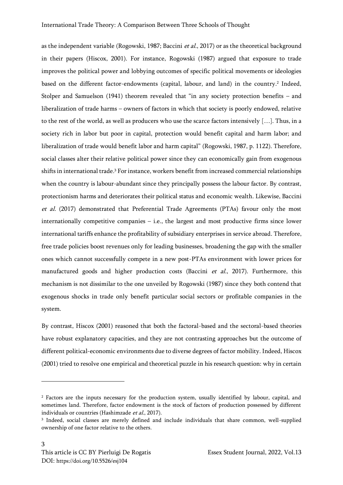as the independent variable (Rogowski, 1987; Baccini et al., 2017) or as the theoretical background in their papers (Hiscox, 2001). For instance, Rogowski (1987) argued that exposure to trade improves the political power and lobbying outcomes of specific political movements or ideologies based on the different factor-endowments (capital, labour, and land) in the country.<sup>2</sup> Indeed, Stolper and Samuelson (1941) theorem revealed that "in any society protection benefits – and liberalization of trade harms – owners of factors in which that society is poorly endowed, relative to the rest of the world, as well as producers who use the scarce factors intensively […]. Thus, in a society rich in labor but poor in capital, protection would benefit capital and harm labor; and liberalization of trade would benefit labor and harm capital" (Rogowski, 1987, p. 1122). Therefore, social classes alter their relative political power since they can economically gain from exogenous shifts in international trade. <sup>3</sup> For instance, workers benefit from increased commercial relationships when the country is labour-abundant since they principally possess the labour factor. By contrast, protectionism harms and deteriorates their political status and economic wealth. Likewise, Baccini et al. (2017) demonstrated that Preferential Trade Agreements (PTAs) favour only the most internationally competitive companies  $-$  i.e., the largest and most productive firms since lower international tariffs enhance the profitability of subsidiary enterprises in service abroad. Therefore, free trade policies boost revenues only for leading businesses, broadening the gap with the smaller ones which cannot successfully compete in a new post-PTAs environment with lower prices for manufactured goods and higher production costs (Baccini et al., 2017). Furthermore, this mechanism is not dissimilar to the one unveiled by Rogowski (1987) since they both contend that exogenous shocks in trade only benefit particular social sectors or profitable companies in the system.

By contrast, Hiscox (2001) reasoned that both the factoral-based and the sectoral-based theories have robust explanatory capacities, and they are not contrasting approaches but the outcome of different political-economic environments due to diverse degrees of factor mobility. Indeed, Hiscox (2001) tried to resolve one empirical and theoretical puzzle in his research question: why in certain

<sup>2</sup> Factors are the inputs necessary for the production system, usually identified by labour, capital, and sometimes land. Therefore, factor endowment is the stock of factors of production possessed by different individuals or countries (Hashimzade et al., 2017).

<sup>3</sup> Indeed, social classes are merely defined and include individuals that share common, well-supplied ownership of one factor relative to the others.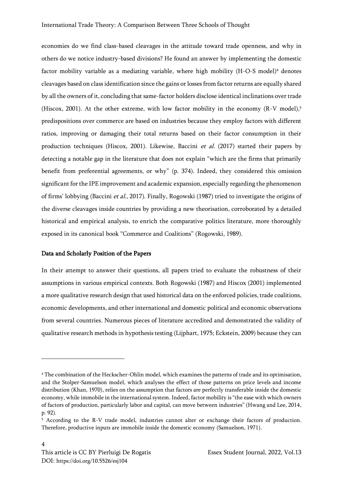economies do we find class-based cleavages in the attitude toward trade openness, and why in others do we notice industry-based divisions? He found an answer by implementing the domestic factor mobility variable as a mediating variable, where high mobility (H-O-S model)<sup>4</sup> denotes cleavages based on class identification since the gains or losses from factor returns are equally shared by all the owners of it, concluding that same-factor holders disclose identical inclinations over trade (Hiscox, 2001). At the other extreme, with low factor mobility in the economy (R-V model),<sup>5</sup> predispositions over commerce are based on industries because they employ factors with different ratios, improving or damaging their total returns based on their factor consumption in their production techniques (Hiscox, 2001). Likewise, Baccini et al. (2017) started their papers by detecting a notable gap in the literature that does not explain "which are the firms that primarily benefit from preferential agreements, or why" (p. 374). Indeed, they considered this omission significant for the IPE improvement and academic expansion, especially regarding the phenomenon of firms' lobbying (Baccini et al., 2017). Finally, Rogowski (1987) tried to investigate the origins of the diverse cleavages inside countries by providing a new theorisation, corroborated by a detailed historical and empirical analysis, to enrich the comparative politics literature, more thoroughly exposed in its canonical book "Commerce and Coalitions" (Rogowski, 1989).

#### Data and Scholarly Position of the Papers

In their attempt to answer their questions, all papers tried to evaluate the robustness of their assumptions in various empirical contexts. Both Rogowski (1987) and Hiscox (2001) implemented a more qualitative research design that used historical data on the enforced policies, trade coalitions, economic developments, and other international and domestic political and economic observations from several countries. Numerous pieces of literature accredited and demonstrated the validity of qualitative research methods in hypothesis testing (Lijphart, 1975; Eckstein, 2009) because they can

<sup>4</sup> The combination of the Heckscher-Ohlin model, which examines the patterns of trade and its optimisation, and the Stolper-Samuelson model, which analyses the effect of those patterns on price levels and income distribution (Khan, 1970), relies on the assumption that factors are perfectly transferable inside the domestic economy, while immobile in the international system. Indeed, factor mobility is "the ease with which owners of factors of production, particularly labor and capital, can move between industries" (Hwang and Lee, 2014, p. 92).

<sup>5</sup> According to the R-V trade model, industries cannot alter or exchange their factors of production. Therefore, productive inputs are immobile inside the domestic economy (Samuelson, 1971).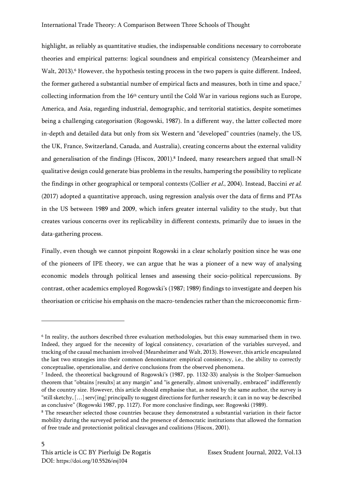highlight, as reliably as quantitative studies, the indispensable conditions necessary to corroborate theories and empirical patterns: logical soundness and empirical consistency (Mearsheimer and Walt, 2013). <sup>6</sup> However, the hypothesis testing process in the two papers is quite different. Indeed, the former gathered a substantial number of empirical facts and measures, both in time and space, 7 collecting information from the 16th century until the Cold War in various regions such as Europe, America, and Asia, regarding industrial, demographic, and territorial statistics, despite sometimes being a challenging categorisation (Rogowski, 1987). In a different way, the latter collected more in-depth and detailed data but only from six Western and "developed" countries (namely, the US, the UK, France, Switzerland, Canada, and Australia), creating concerns about the external validity and generalisation of the findings (Hiscox, 2001). 8 Indeed, many researchers argued that small-N qualitative design could generate bias problems in the results, hampering the possibility to replicate the findings in other geographical or temporal contexts (Collier *et al.*, 2004). Instead, Baccini *et al.* (2017) adopted a quantitative approach, using regression analysis over the data of firms and PTAs in the US between 1989 and 2009, which infers greater internal validity to the study, but that creates various concerns over its replicability in different contexts, primarily due to issues in the data-gathering process.

Finally, even though we cannot pinpoint Rogowski in a clear scholarly position since he was one of the pioneers of IPE theory, we can argue that he was a pioneer of a new way of analysing economic models through political lenses and assessing their socio-political repercussions. By contrast, other academics employed Rogowski's (1987; 1989) findings to investigate and deepen his theorisation or criticise his emphasis on the macro-tendencies rather than the microeconomic firm-

<sup>6</sup> In reality, the authors described three evaluation methodologies, but this essay summarised them in two. Indeed, they argued for the necessity of logical consistency, covariation of the variables surveyed, and tracking of the causal mechanism involved (Mearsheimer and Walt, 2013). However, this article encapsulated the last two strategies into their common denominator: empirical consistency, i.e., the ability to correctly conceptualise, operationalise, and derive conclusions from the observed phenomena.

<sup>7</sup> Indeed, the theoretical background of Rogowski's (1987, pp. 1132-33) analysis is the Stolper-Samuelson theorem that "obtains [results] at any margin" and "is generally, almost universally, embraced" indifferently of the country size. However, this article should emphasise that, as noted by the same author, the survey is "still sketchy,  $[...]$  serv[ing] principally to suggest directions for further research; it can in no way be described as conclusive" (Rogowski 1987, pp. 1127). For more conclusive findings, see: Rogowski (1989).

<sup>8</sup> The researcher selected those countries because they demonstrated a substantial variation in their factor mobility during the surveyed period and the presence of democratic institutions that allowed the formation of free trade and protectionist political cleavages and coalitions (Hiscox, 2001).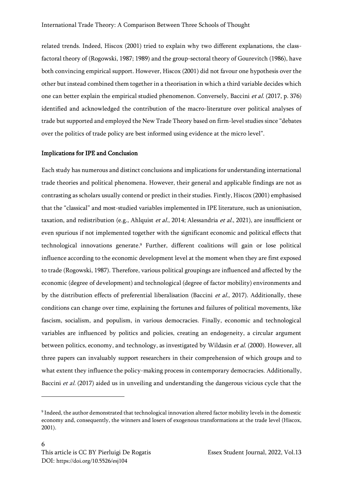related trends. Indeed, Hiscox (2001) tried to explain why two different explanations, the classfactoral theory of (Rogowski, 1987; 1989) and the group-sectoral theory of Gourevitch (1986), have both convincing empirical support. However, Hiscox (2001) did not favour one hypothesis over the other but instead combined them together in a theorisation in which a third variable decides which one can better explain the empirical studied phenomenon. Conversely, Baccini et al. (2017, p. 376) identified and acknowledged the contribution of the macro-literature over political analyses of trade but supported and employed the New Trade Theory based on firm-level studies since "debates over the politics of trade policy are best informed using evidence at the micro level".

#### Implications for IPE and Conclusion

Each study has numerous and distinct conclusions and implications for understanding international trade theories and political phenomena. However, their general and applicable findings are not as contrasting as scholars usually contend or predict in their studies. Firstly, Hiscox (2001) emphasised that the "classical" and most-studied variables implemented in IPE literature, such as unionisation, taxation, and redistribution (e.g., Ahlquist et al., 2014; Alessandria et al., 2021), are insufficient or even spurious if not implemented together with the significant economic and political effects that technological innovations generate. <sup>9</sup> Further, different coalitions will gain or lose political influence according to the economic development level at the moment when they are first exposed to trade (Rogowski, 1987). Therefore, various political groupings are influenced and affected by the economic (degree of development) and technological (degree of factor mobility) environments and by the distribution effects of preferential liberalisation (Baccini et al., 2017). Additionally, these conditions can change over time, explaining the fortunes and failures of political movements, like fascism, socialism, and populism, in various democracies. Finally, economic and technological variables are influenced by politics and policies, creating an endogeneity, a circular argument between politics, economy, and technology, as investigated by Wildasin *et al.* (2000). However, all three papers can invaluably support researchers in their comprehension of which groups and to what extent they influence the policy-making process in contemporary democracies. Additionally, Baccini et al. (2017) aided us in unveiling and understanding the dangerous vicious cycle that the

<sup>9</sup> Indeed, the author demonstrated that technological innovation altered factor mobility levels in the domestic economy and, consequently, the winners and losers of exogenous transformations at the trade level (Hiscox, 2001).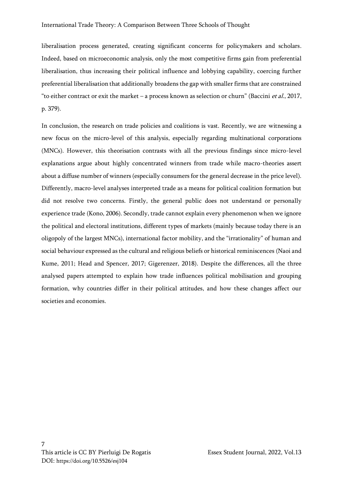liberalisation process generated, creating significant concerns for policymakers and scholars. Indeed, based on microeconomic analysis, only the most competitive firms gain from preferential liberalisation, thus increasing their political influence and lobbying capability, coercing further preferential liberalisation that additionally broadens the gap with smaller firms that are constrained "to either contract or exit the market – a process known as selection or churn" (Baccini et al., 2017, p. 379).

In conclusion, the research on trade policies and coalitions is vast. Recently, we are witnessing a new focus on the micro-level of this analysis, especially regarding multinational corporations (MNCs). However, this theorisation contrasts with all the previous findings since micro-level explanations argue about highly concentrated winners from trade while macro-theories assert about a diffuse number of winners (especially consumers for the general decrease in the price level). Differently, macro-level analyses interpreted trade as a means for political coalition formation but did not resolve two concerns. Firstly, the general public does not understand or personally experience trade (Kono, 2006). Secondly, trade cannot explain every phenomenon when we ignore the political and electoral institutions, different types of markets (mainly because today there is an oligopoly of the largest MNCs), international factor mobility, and the "irrationality" of human and social behaviour expressed as the cultural and religious beliefs or historical reminiscences (Naoi and Kume, 2011; Head and Spencer, 2017; Gigerenzer, 2018). Despite the differences, all the three analysed papers attempted to explain how trade influences political mobilisation and grouping formation, why countries differ in their political attitudes, and how these changes affect our societies and economies.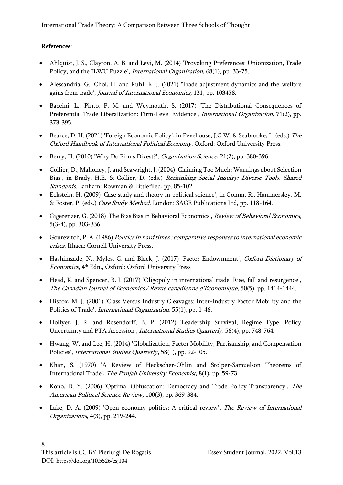## References:

- Ahlquist, J. S., Clayton, A. B. and Levi, M. (2014) 'Provoking Preferences: Unionization, Trade Policy, and the ILWU Puzzle', International Organization, 68(1), pp. 33-75.
- Alessandria, G., Choi, H. and Ruhl, K. J. (2021) 'Trade adjustment dynamics and the welfare gains from trade', Journal of International Economics, 131, pp. 103458.
- Baccini, L., Pinto, P. M. and Weymouth, S. (2017) 'The Distributional Consequences of Preferential Trade Liberalization: Firm-Level Evidence', International Organization, 71(2), pp. 373-395.
- Bearce, D. H. (2021) 'Foreign Economic Policy', in Pevehouse, J.C.W. & Seabrooke, L. (eds.) The Oxford Handbook of International Political Economy. Oxford: Oxford University Press.
- Berry, H. (2010) 'Why Do Firms Divest?', *Organization Science*, 21(2), pp. 380-396.
- Collier, D., Mahoney, J. and Seawright, J. (2004) 'Claiming Too Much: Warnings about Selection Bias', in Brady, H.E. & Collier, D. (eds.) Rethinking Social Inquiry: Diverse Tools, Shared Standards. Lanham: Rowman & Littlefiled, pp. 85-102.
- Eckstein, H. (2009) 'Case study and theory in political science', in Gomm, R., Hammersley, M. & Foster, P. (eds.) Case Study Method. London: SAGE Publications Ltd, pp. 118-164.
- Gigerenzer, G. (2018) 'The Bias Bias in Behavioral Economics', Review of Behavioral Economics, 5(3-4), pp. 303-336.
- Gourevitch, P. A. (1986) Politics in hard times : comparative responses to international economic crises. Ithaca: Cornell University Press.
- Hashimzade, N., Myles, G. and Black, J. (2017) 'Factor Endownment', Oxford Dictionary of Economics, 4th Edn., Oxford: Oxford University Press
- Head, K. and Spencer, B. J. (2017) 'Oligopoly in international trade: Rise, fall and resurgence', The Canadian Journal of Economics / Revue canadienne d'Economique, 50(5), pp. 1414-1444.
- Hiscox, M. J. (2001) 'Class Versus Industry Cleavages: Inter-Industry Factor Mobility and the Politics of Trade', International Organization, 55(1), pp. 1-46.
- Hollyer, J. R. and Rosendorff, B. P. (2012) 'Leadership Survival, Regime Type, Policy Uncertainty and PTA Accession', International Studies Quarterly, 56(4), pp. 748-764.
- Hwang, W. and Lee, H. (2014) 'Globalization, Factor Mobility, Partisanship, and Compensation Policies', International Studies Quarterly, 58(1), pp. 92-105.
- Khan, S. (1970) 'A Review of Heckscher-Ohlin and Stolper-Samuelson Theorems of International Trade', The Punjab University Economist, 8(1), pp. 59-73.
- Kono, D. Y. (2006) 'Optimal Obfuscation: Democracy and Trade Policy Transparency', The American Political Science Review, 100(3), pp. 369-384.
- Lake, D. A. (2009) 'Open economy politics: A critical review', The Review of International Organizations, 4(3), pp. 219-244.